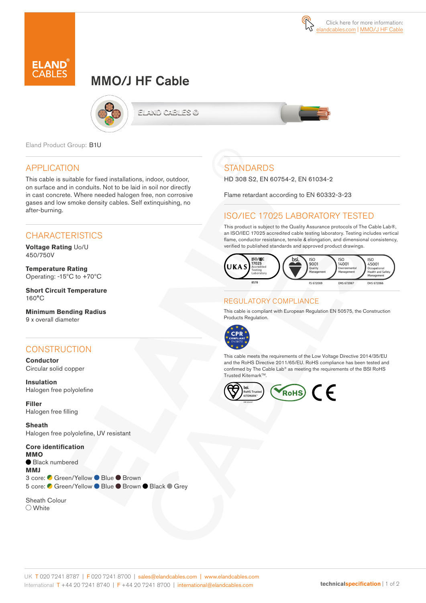# MMO/J HF Cable



ELAND CABLES @



Eland Product Group: B1U

### APPLICATION

This cable is suitable for fixed installations, indoor, outdoor, on surface and in conduits. Not to be laid in soil nor directly in cast concrete. Where needed halogen free, non corrosive gases and low smoke density cables. Self extinquishing, no after-burning.

### **CHARACTERISTICS**

**Voltage Rating** Uo/U 450/750V

**Temperature Rating** Operating: -15ºC to +70ºC

**Short Circuit Temperature** 160°C

**Minimum Bending Radius**  9 x overall diameter

## **CONSTRUCTION**

**Conductor** Circular solid copper

**Insulation** Halogen free polyolefine

**Filler**  Halogen free filling

**Sheath** Halogen free polyolefine, UV resistant

**Core identification MMO** Black numbered **MMJ** 3 core: C Green/Yellow ● Blue ● Brown 5 core: C Green/Yellow ● Blue ● Brown ● Black ● Grey

Sheath Colour White

# **STANDARDS**

HD 308 S2, EN 60754-2, EN 61034-2

Flame retardant according to EN 60332-3-23

#### ISO/IEC 17025 LABORATORY TESTED

This product is subject to the Quality Assurance protocols of The Cable Lab®, an ISO/IEC 17025 accredited cable testing laboratory. Testing includes vertical flame, conductor resistance, tensile & elongation, and dimensional consistency, verified to published standards and approved product drawings.



#### REGULATORY COMPLIANCE

This cable is compliant with European Regulation EN 50575, the Construction Products Regulation.



This cable meets the requirements of the Low Voltage Directive 2014/35/EU and the RoHS Directive 2011/65/EU. RoHS compliance has been tested and confirmed by The Cable Lab® as meeting the requirements of the BSI RoHS Trusted Kitemark™.